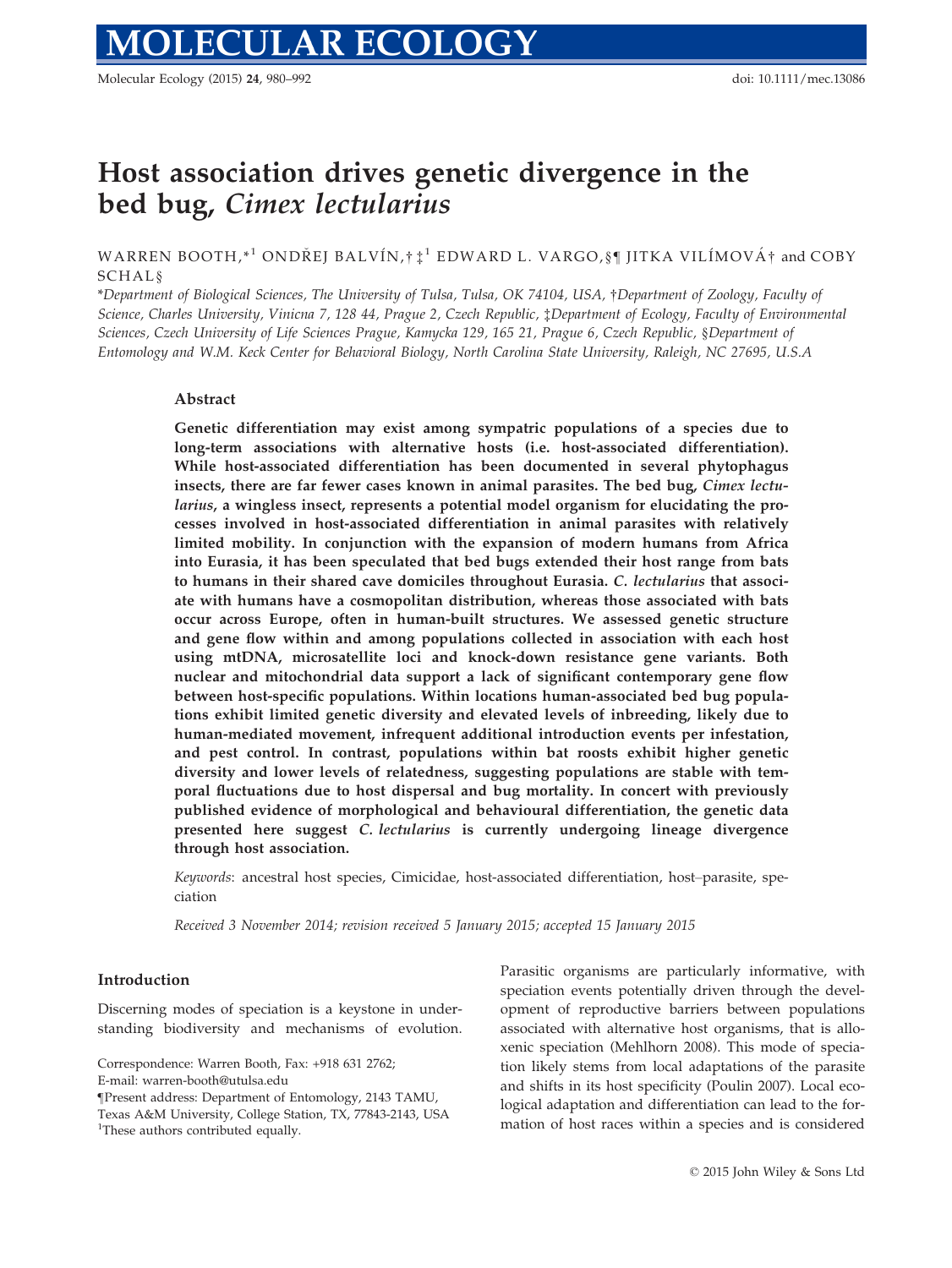Molecular Ecology (2015) 24, 980–992 doi: 10.1111/mec.13086

# Host association drives genetic divergence in the bed bug, Cimex lectularius

WARREN BOOTH, $*^1$  ONDREJ BALVÍN, $\dagger \ddagger^1$  EDWARD L. VARGO, § IITKA VILÍMOVÁ $\dagger$  and COBY SCHAL§

\*Department of Biological Sciences, The University of Tulsa, Tulsa, OK 74104, USA, †Department of Zoology, Faculty of Science, Charles University, Vinicna 7, 128 44, Prague 2, Czech Republic, ‡Department of Ecology, Faculty of Environmental Sciences, Czech University of Life Sciences Prague, Kamycka 129, 165 21, Prague 6, Czech Republic, §Department of Entomology and W.M. Keck Center for Behavioral Biology, North Carolina State University, Raleigh, NC 27695, U.S.A

## Abstract

Genetic differentiation may exist among sympatric populations of a species due to long-term associations with alternative hosts (i.e. host-associated differentiation). While host-associated differentiation has been documented in several phytophagus insects, there are far fewer cases known in animal parasites. The bed bug, *Cimex lectu*larius, a wingless insect, represents a potential model organism for elucidating the processes involved in host-associated differentiation in animal parasites with relatively limited mobility. In conjunction with the expansion of modern humans from Africa into Eurasia, it has been speculated that bed bugs extended their host range from bats to humans in their shared cave domiciles throughout Eurasia. C. lectularius that associate with humans have a cosmopolitan distribution, whereas those associated with bats occur across Europe, often in human-built structures. We assessed genetic structure and gene flow within and among populations collected in association with each host using mtDNA, microsatellite loci and knock-down resistance gene variants. Both nuclear and mitochondrial data support a lack of significant contemporary gene flow between host-specific populations. Within locations human-associated bed bug populations exhibit limited genetic diversity and elevated levels of inbreeding, likely due to human-mediated movement, infrequent additional introduction events per infestation, and pest control. In contrast, populations within bat roosts exhibit higher genetic diversity and lower levels of relatedness, suggesting populations are stable with temporal fluctuations due to host dispersal and bug mortality. In concert with previously published evidence of morphological and behavioural differentiation, the genetic data presented here suggest C. lectularius is currently undergoing lineage divergence through host association.

Keywords: ancestral host species, Cimicidae, host-associated differentiation, host–parasite, speciation

Received 3 November 2014; revision received 5 January 2015; accepted 15 January 2015

#### Introduction

Discerning modes of speciation is a keystone in understanding biodiversity and mechanisms of evolution.

Parasitic organisms are particularly informative, with speciation events potentially driven through the development of reproductive barriers between populations associated with alternative host organisms, that is alloxenic speciation (Mehlhorn 2008). This mode of speciation likely stems from local adaptations of the parasite and shifts in its host specificity (Poulin 2007). Local ecological adaptation and differentiation can lead to the formation of host races within a species and is considered

Correspondence: Warren Booth, Fax: +918 631 2762;

E-mail: warren-booth@utulsa.edu

<sup>¶</sup>Present address: Department of Entomology, 2143 TAMU,

Texas A&M University, College Station, TX, 77843-2143, USA

<sup>&</sup>lt;sup>1</sup>These authors contributed equally.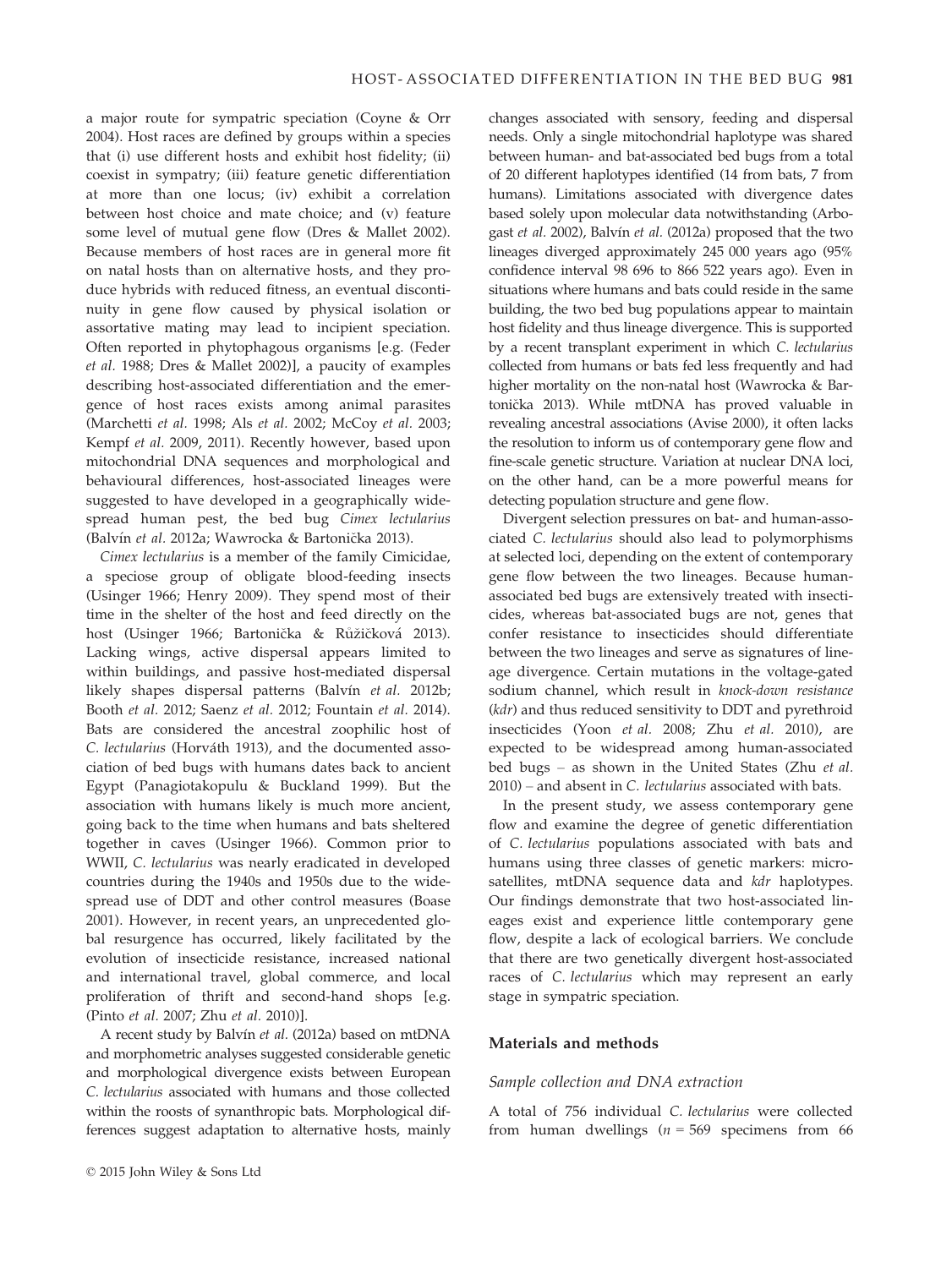a major route for sympatric speciation (Coyne & Orr 2004). Host races are defined by groups within a species that (i) use different hosts and exhibit host fidelity; (ii) coexist in sympatry; (iii) feature genetic differentiation at more than one locus; (iv) exhibit a correlation between host choice and mate choice; and (v) feature some level of mutual gene flow (Dres & Mallet 2002). Because members of host races are in general more fit on natal hosts than on alternative hosts, and they produce hybrids with reduced fitness, an eventual discontinuity in gene flow caused by physical isolation or assortative mating may lead to incipient speciation. Often reported in phytophagous organisms [e.g. (Feder et al. 1988; Dres & Mallet 2002)], a paucity of examples describing host-associated differentiation and the emergence of host races exists among animal parasites (Marchetti et al. 1998; Als et al. 2002; McCoy et al. 2003; Kempf et al. 2009, 2011). Recently however, based upon mitochondrial DNA sequences and morphological and behavioural differences, host-associated lineages were suggested to have developed in a geographically widespread human pest, the bed bug Cimex lectularius (Balvín et al. 2012a; Wawrocka & Bartonička 2013).

Cimex lectularius is a member of the family Cimicidae, a speciose group of obligate blood-feeding insects (Usinger 1966; Henry 2009). They spend most of their time in the shelter of the host and feed directly on the host (Usinger 1966; Bartonička & Růžičková 2013). Lacking wings, active dispersal appears limited to within buildings, and passive host-mediated dispersal likely shapes dispersal patterns (Balvín et al. 2012b; Booth et al. 2012; Saenz et al. 2012; Fountain et al. 2014). Bats are considered the ancestral zoophilic host of C. lectularius (Horváth 1913), and the documented association of bed bugs with humans dates back to ancient Egypt (Panagiotakopulu & Buckland 1999). But the association with humans likely is much more ancient, going back to the time when humans and bats sheltered together in caves (Usinger 1966). Common prior to WWII, C. lectularius was nearly eradicated in developed countries during the 1940s and 1950s due to the widespread use of DDT and other control measures (Boase 2001). However, in recent years, an unprecedented global resurgence has occurred, likely facilitated by the evolution of insecticide resistance, increased national and international travel, global commerce, and local proliferation of thrift and second-hand shops [e.g. (Pinto et al. 2007; Zhu et al. 2010)].

A recent study by Balvín et al. (2012a) based on mtDNA and morphometric analyses suggested considerable genetic and morphological divergence exists between European C. lectularius associated with humans and those collected within the roosts of synanthropic bats. Morphological differences suggest adaptation to alternative hosts, mainly

changes associated with sensory, feeding and dispersal needs. Only a single mitochondrial haplotype was shared between human- and bat-associated bed bugs from a total of 20 different haplotypes identified (14 from bats, 7 from humans). Limitations associated with divergence dates based solely upon molecular data notwithstanding (Arbogast et al. 2002), Balvín et al. (2012a) proposed that the two lineages diverged approximately 245 000 years ago (95% confidence interval 98 696 to 866 522 years ago). Even in situations where humans and bats could reside in the same building, the two bed bug populations appear to maintain host fidelity and thus lineage divergence. This is supported by a recent transplant experiment in which C. lectularius collected from humans or bats fed less frequently and had higher mortality on the non-natal host (Wawrocka & Bartonicka 2013). While mtDNA has proved valuable in revealing ancestral associations (Avise 2000), it often lacks the resolution to inform us of contemporary gene flow and fine-scale genetic structure. Variation at nuclear DNA loci, on the other hand, can be a more powerful means for detecting population structure and gene flow.

Divergent selection pressures on bat- and human-associated C. lectularius should also lead to polymorphisms at selected loci, depending on the extent of contemporary gene flow between the two lineages. Because humanassociated bed bugs are extensively treated with insecticides, whereas bat-associated bugs are not, genes that confer resistance to insecticides should differentiate between the two lineages and serve as signatures of lineage divergence. Certain mutations in the voltage-gated sodium channel, which result in knock-down resistance (kdr) and thus reduced sensitivity to DDT and pyrethroid insecticides (Yoon et al. 2008; Zhu et al. 2010), are expected to be widespread among human-associated bed bugs – as shown in the United States (Zhu et al. 2010) – and absent in C. lectularius associated with bats.

In the present study, we assess contemporary gene flow and examine the degree of genetic differentiation of C. lectularius populations associated with bats and humans using three classes of genetic markers: microsatellites, mtDNA sequence data and kdr haplotypes. Our findings demonstrate that two host-associated lineages exist and experience little contemporary gene flow, despite a lack of ecological barriers. We conclude that there are two genetically divergent host-associated races of C. lectularius which may represent an early stage in sympatric speciation.

## Materials and methods

#### Sample collection and DNA extraction

A total of 756 individual C. lectularius were collected from human dwellings ( $n = 569$  specimens from 66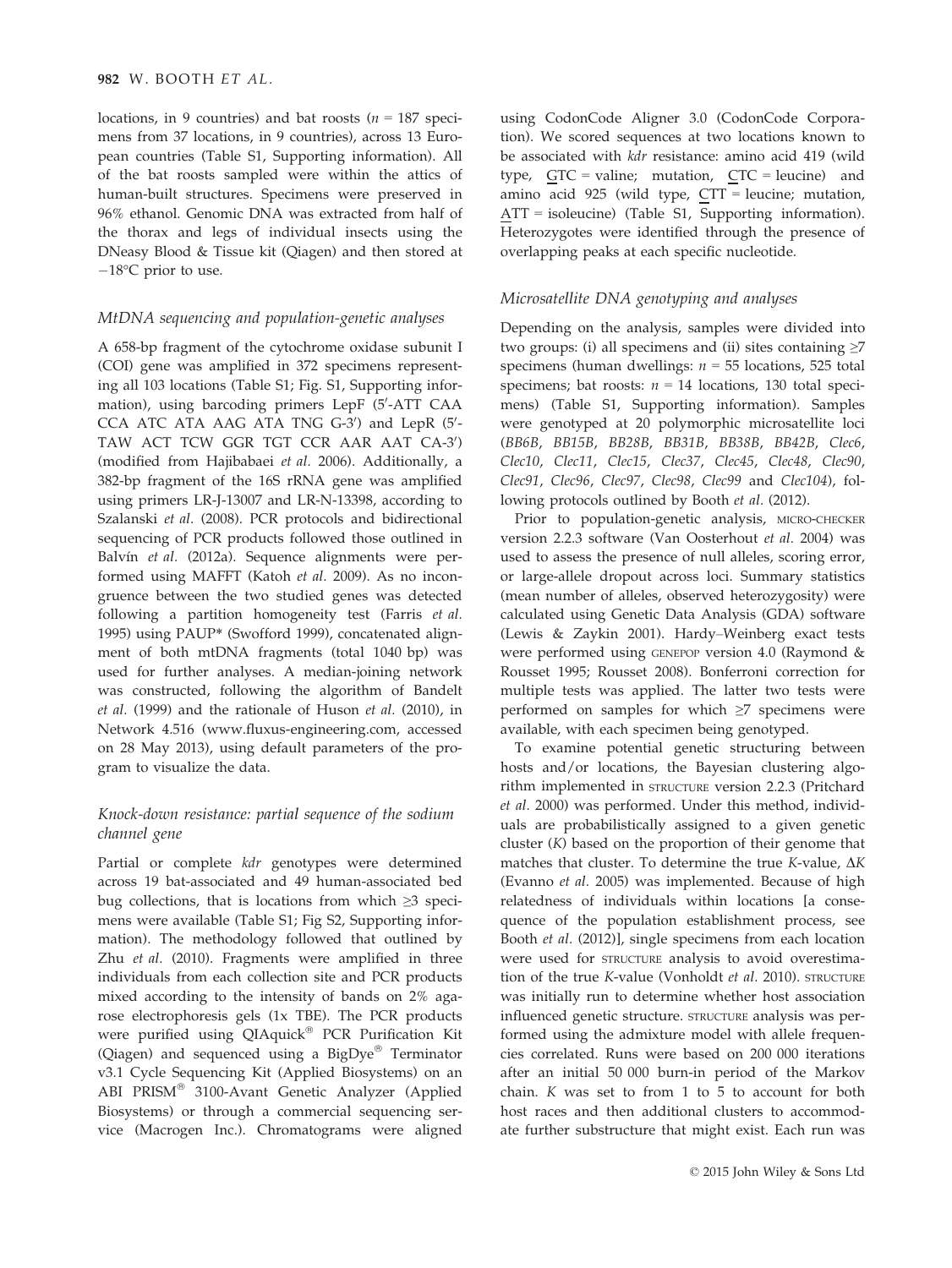locations, in 9 countries) and bat roosts ( $n = 187$  specimens from 37 locations, in 9 countries), across 13 European countries (Table S1, Supporting information). All of the bat roosts sampled were within the attics of human-built structures. Specimens were preserved in 96% ethanol. Genomic DNA was extracted from half of the thorax and legs of individual insects using the DNeasy Blood & Tissue kit (Qiagen) and then stored at  $-18$ °C prior to use.

## MtDNA sequencing and population-genetic analyses

A 658-bp fragment of the cytochrome oxidase subunit I (COI) gene was amplified in 372 specimens representing all 103 locations (Table S1; Fig. S1, Supporting information), using barcoding primers LepF (5′-ATT CAA CCA ATC ATA AAG ATA TNG G-3') and LepR (5'-TAW ACT TCW GGR TGT CCR AAR AAT CA-3') (modified from Hajibabaei et al. 2006). Additionally, a 382-bp fragment of the 16S rRNA gene was amplified using primers LR-J-13007 and LR-N-13398, according to Szalanski et al. (2008). PCR protocols and bidirectional sequencing of PCR products followed those outlined in Balvín et al. (2012a). Sequence alignments were performed using MAFFT (Katoh et al. 2009). As no incongruence between the two studied genes was detected following a partition homogeneity test (Farris et al. 1995) using PAUP\* (Swofford 1999), concatenated alignment of both mtDNA fragments (total 1040 bp) was used for further analyses. A median-joining network was constructed, following the algorithm of Bandelt et al. (1999) and the rationale of Huson et al. (2010), in Network 4.516 [\(www.fluxus-engineering.com](http://www.fluxus-engineering.com), accessed on 28 May 2013), using default parameters of the program to visualize the data.

# Knock-down resistance: partial sequence of the sodium channel gene

Partial or complete kdr genotypes were determined across 19 bat-associated and 49 human-associated bed bug collections, that is locations from which ≥3 specimens were available (Table S1; Fig S2, Supporting information). The methodology followed that outlined by Zhu et al. (2010). Fragments were amplified in three individuals from each collection site and PCR products mixed according to the intensity of bands on 2% agarose electrophoresis gels (1x TBE). The PCR products were purified using QIAquick<sup>®</sup> PCR Purification Kit (Qiagen) and sequenced using a  $BigDye^{\circledast}$  Terminator v3.1 Cycle Sequencing Kit (Applied Biosystems) on an ABI PRISM® 3100-Avant Genetic Analyzer (Applied Biosystems) or through a commercial sequencing service (Macrogen Inc.). Chromatograms were aligned

using CodonCode Aligner 3.0 (CodonCode Corporation). We scored sequences at two locations known to be associated with kdr resistance: amino acid 419 (wild type,  $GTC = \text{valine}$ ; mutation,  $CTC = \text{leucine}$ ) and amino acid 925 (wild type, CTT = leucine; mutation, ATT = isoleucine) (Table S1, Supporting information). Heterozygotes were identified through the presence of overlapping peaks at each specific nucleotide.

## Microsatellite DNA genotyping and analyses

Depending on the analysis, samples were divided into two groups: (i) all specimens and (ii) sites containing  $\geq$ 7 specimens (human dwellings:  $n = 55$  locations, 525 total specimens; bat roosts:  $n = 14$  locations, 130 total specimens) (Table S1, Supporting information). Samples were genotyped at 20 polymorphic microsatellite loci (BB6B, BB15B, BB28B, BB31B, BB38B, BB42B, Clec6, Clec10, Clec11, Clec15, Clec37, Clec45, Clec48, Clec90, Clec91, Clec96, Clec97, Clec98, Clec99 and Clec104), following protocols outlined by Booth et al. (2012).

Prior to population-genetic analysis, MICRO-CHECKER version 2.2.3 software (Van Oosterhout et al. 2004) was used to assess the presence of null alleles, scoring error, or large-allele dropout across loci. Summary statistics (mean number of alleles, observed heterozygosity) were calculated using Genetic Data Analysis (GDA) software (Lewis & Zaykin 2001). Hardy–Weinberg exact tests were performed using GENEPOP version 4.0 (Raymond & Rousset 1995; Rousset 2008). Bonferroni correction for multiple tests was applied. The latter two tests were performed on samples for which ≥7 specimens were available, with each specimen being genotyped.

To examine potential genetic structuring between hosts and/or locations, the Bayesian clustering algorithm implemented in STRUCTURE version 2.2.3 (Pritchard et al. 2000) was performed. Under this method, individuals are probabilistically assigned to a given genetic cluster (K) based on the proportion of their genome that matches that cluster. To determine the true K-value,  $\Delta K$ (Evanno et al. 2005) was implemented. Because of high relatedness of individuals within locations [a consequence of the population establishment process, see Booth et al. (2012)], single specimens from each location were used for STRUCTURE analysis to avoid overestimation of the true K-value (Vonholdt et al. 2010). STRUCTURE was initially run to determine whether host association influenced genetic structure. STRUCTURE analysis was performed using the admixture model with allele frequencies correlated. Runs were based on 200 000 iterations after an initial 50 000 burn-in period of the Markov chain.  $K$  was set to from  $1$  to  $5$  to account for both host races and then additional clusters to accommodate further substructure that might exist. Each run was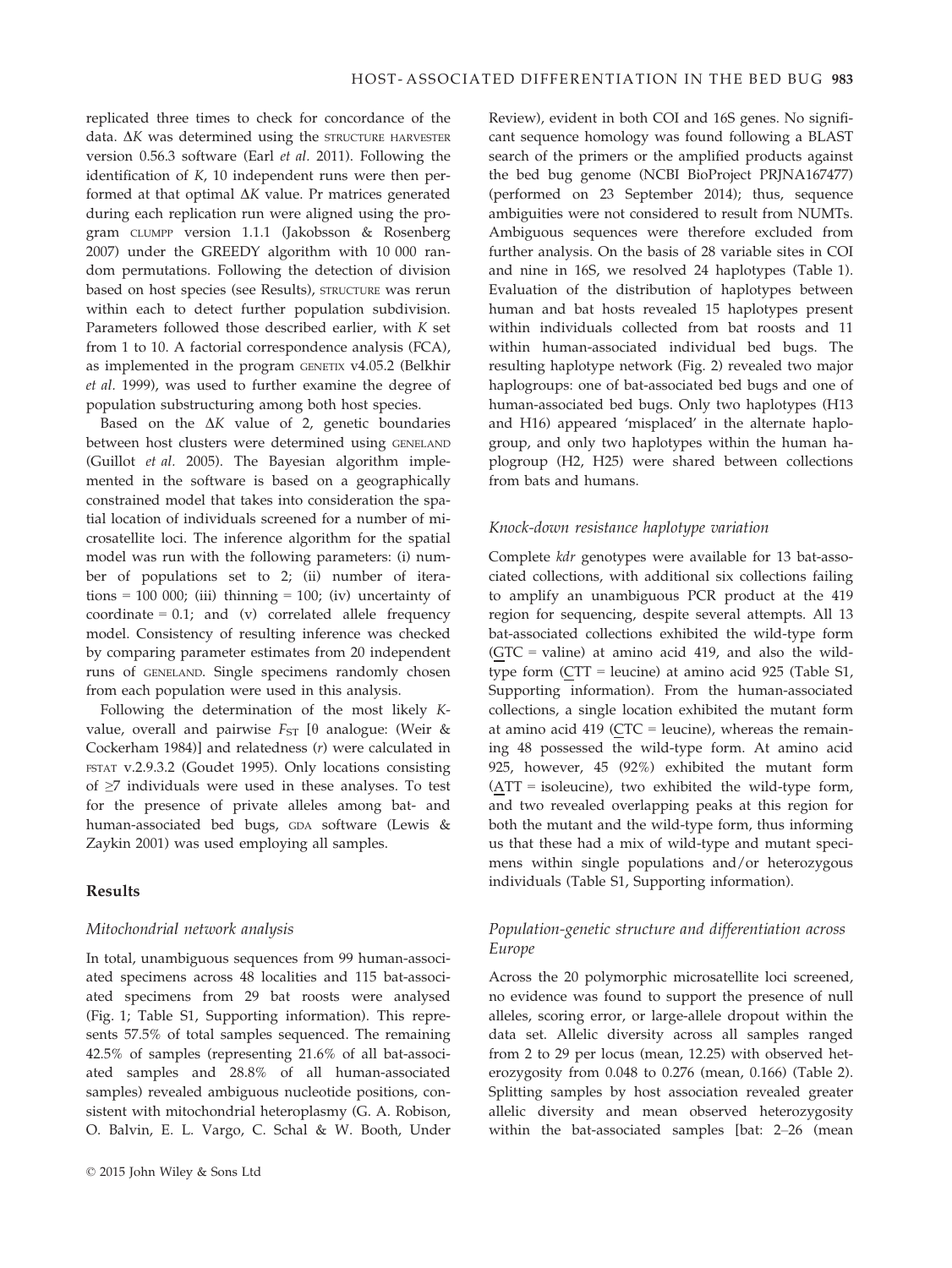replicated three times to check for concordance of the data.  $\Delta K$  was determined using the STRUCTURE HARVESTER version 0.56.3 software (Earl et al. 2011). Following the identification of K, 10 independent runs were then performed at that optimal  $\Delta K$  value. Pr matrices generated during each replication run were aligned using the program CLUMPP version 1.1.1 (Jakobsson & Rosenberg 2007) under the GREEDY algorithm with 10 000 random permutations. Following the detection of division based on host species (see Results), STRUCTURE was rerun within each to detect further population subdivision. Parameters followed those described earlier, with K set from 1 to 10. A factorial correspondence analysis (FCA), as implemented in the program GENETIX v4.05.2 (Belkhir et al. 1999), was used to further examine the degree of population substructuring among both host species.

Based on the  $\Delta K$  value of 2, genetic boundaries between host clusters were determined using GENELAND (Guillot et al. 2005). The Bayesian algorithm implemented in the software is based on a geographically constrained model that takes into consideration the spatial location of individuals screened for a number of microsatellite loci. The inference algorithm for the spatial model was run with the following parameters: (i) number of populations set to 2; (ii) number of iterations = 100 000; (iii) thinning = 100; (iv) uncertainty of coordinate =  $0.1$ ; and (v) correlated allele frequency model. Consistency of resulting inference was checked by comparing parameter estimates from 20 independent runs of GENELAND. Single specimens randomly chosen from each population were used in this analysis.

Following the determination of the most likely Kvalue, overall and pairwise  $F_{ST}$  [ $\theta$  analogue: (Weir & Cockerham 1984)] and relatedness (r) were calculated in FSTAT v.2.9.3.2 (Goudet 1995). Only locations consisting of ≥7 individuals were used in these analyses. To test for the presence of private alleles among bat- and human-associated bed bugs, GDA software (Lewis & Zaykin 2001) was used employing all samples.

## Results

#### Mitochondrial network analysis

In total, unambiguous sequences from 99 human-associated specimens across 48 localities and 115 bat-associated specimens from 29 bat roosts were analysed (Fig. 1; Table S1, Supporting information). This represents 57.5% of total samples sequenced. The remaining 42.5% of samples (representing 21.6% of all bat-associated samples and 28.8% of all human-associated samples) revealed ambiguous nucleotide positions, consistent with mitochondrial heteroplasmy (G. A. Robison, O. Balvin, E. L. Vargo, C. Schal & W. Booth, Under Review), evident in both COI and 16S genes. No significant sequence homology was found following a BLAST search of the primers or the amplified products against the bed bug genome (NCBI BioProject PRJNA167477) (performed on 23 September 2014); thus, sequence ambiguities were not considered to result from NUMTs. Ambiguous sequences were therefore excluded from further analysis. On the basis of 28 variable sites in COI and nine in 16S, we resolved 24 haplotypes (Table 1). Evaluation of the distribution of haplotypes between human and bat hosts revealed 15 haplotypes present within individuals collected from bat roosts and 11 within human-associated individual bed bugs. The resulting haplotype network (Fig. 2) revealed two major haplogroups: one of bat-associated bed bugs and one of human-associated bed bugs. Only two haplotypes (H13 and H16) appeared 'misplaced' in the alternate haplogroup, and only two haplotypes within the human haplogroup (H2, H25) were shared between collections from bats and humans.

#### Knock-down resistance haplotype variation

Complete kdr genotypes were available for 13 bat-associated collections, with additional six collections failing to amplify an unambiguous PCR product at the 419 region for sequencing, despite several attempts. All 13 bat-associated collections exhibited the wild-type form  $(GTC = \text{valine})$  at amino acid 419, and also the wildtype form (CTT = leucine) at amino acid 925 (Table S1, Supporting information). From the human-associated collections, a single location exhibited the mutant form at amino acid 419 (CTC = leucine), whereas the remaining 48 possessed the wild-type form. At amino acid 925, however, 45 (92%) exhibited the mutant form (ATT = isoleucine), two exhibited the wild-type form, and two revealed overlapping peaks at this region for both the mutant and the wild-type form, thus informing us that these had a mix of wild-type and mutant specimens within single populations and/or heterozygous individuals (Table S1, Supporting information).

# Population-genetic structure and differentiation across Europe

Across the 20 polymorphic microsatellite loci screened, no evidence was found to support the presence of null alleles, scoring error, or large-allele dropout within the data set. Allelic diversity across all samples ranged from 2 to 29 per locus (mean, 12.25) with observed heterozygosity from 0.048 to 0.276 (mean, 0.166) (Table 2). Splitting samples by host association revealed greater allelic diversity and mean observed heterozygosity within the bat-associated samples [bat: 2–26 (mean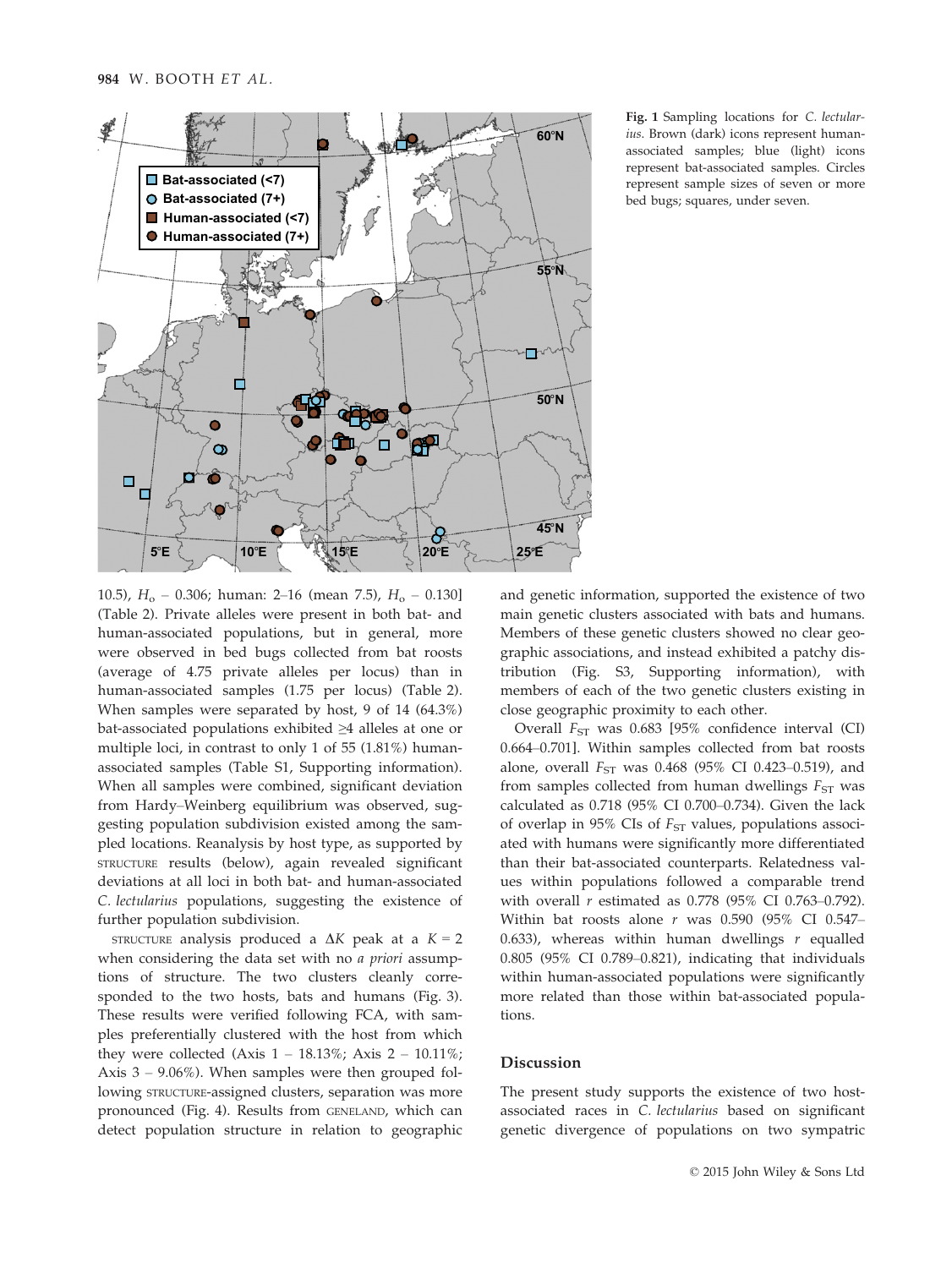

Fig. 1 Sampling locations for C. lectularius. Brown (dark) icons represent humanassociated samples; blue (light) icons represent bat-associated samples. Circles represent sample sizes of seven or more bed bugs; squares, under seven.

10.5),  $H_0$  – 0.306; human: 2–16 (mean 7.5),  $H_0$  – 0.130] (Table 2). Private alleles were present in both bat- and human-associated populations, but in general, more were observed in bed bugs collected from bat roosts (average of 4.75 private alleles per locus) than in human-associated samples (1.75 per locus) (Table 2). When samples were separated by host, 9 of 14 (64.3%) bat-associated populations exhibited ≥4 alleles at one or multiple loci, in contrast to only 1 of 55 (1.81%) humanassociated samples (Table S1, Supporting information). When all samples were combined, significant deviation from Hardy–Weinberg equilibrium was observed, suggesting population subdivision existed among the sampled locations. Reanalysis by host type, as supported by STRUCTURE results (below), again revealed significant deviations at all loci in both bat- and human-associated C. lectularius populations, suggesting the existence of further population subdivision.

STRUCTURE analysis produced a  $\Delta K$  peak at a  $K = 2$ when considering the data set with no *a priori* assumptions of structure. The two clusters cleanly corresponded to the two hosts, bats and humans (Fig. 3). These results were verified following FCA, with samples preferentially clustered with the host from which they were collected (Axis  $1 - 18.13\%$ ; Axis  $2 - 10.11\%$ ; Axis 3 – 9.06%). When samples were then grouped following STRUCTURE-assigned clusters, separation was more pronounced (Fig. 4). Results from GENELAND, which can detect population structure in relation to geographic

and genetic information, supported the existence of two main genetic clusters associated with bats and humans. Members of these genetic clusters showed no clear geographic associations, and instead exhibited a patchy distribution (Fig. S3, Supporting information), with members of each of the two genetic clusters existing in close geographic proximity to each other.

Overall  $F_{ST}$  was 0.683 [95% confidence interval (CI) 0.664–0.701]. Within samples collected from bat roosts alone, overall  $F_{ST}$  was 0.468 (95% CI 0.423-0.519), and from samples collected from human dwellings  $F_{ST}$  was calculated as 0.718 (95% CI 0.700–0.734). Given the lack of overlap in 95% CIs of  $F_{ST}$  values, populations associated with humans were significantly more differentiated than their bat-associated counterparts. Relatedness values within populations followed a comparable trend with overall  $r$  estimated as 0.778 (95% CI 0.763-0.792). Within bat roosts alone  $r$  was 0.590 (95% CI 0.547– 0.633), whereas within human dwellings  $r$  equalled 0.805 (95% CI 0.789–0.821), indicating that individuals within human-associated populations were significantly more related than those within bat-associated populations.

## Discussion

The present study supports the existence of two hostassociated races in C. lectularius based on significant genetic divergence of populations on two sympatric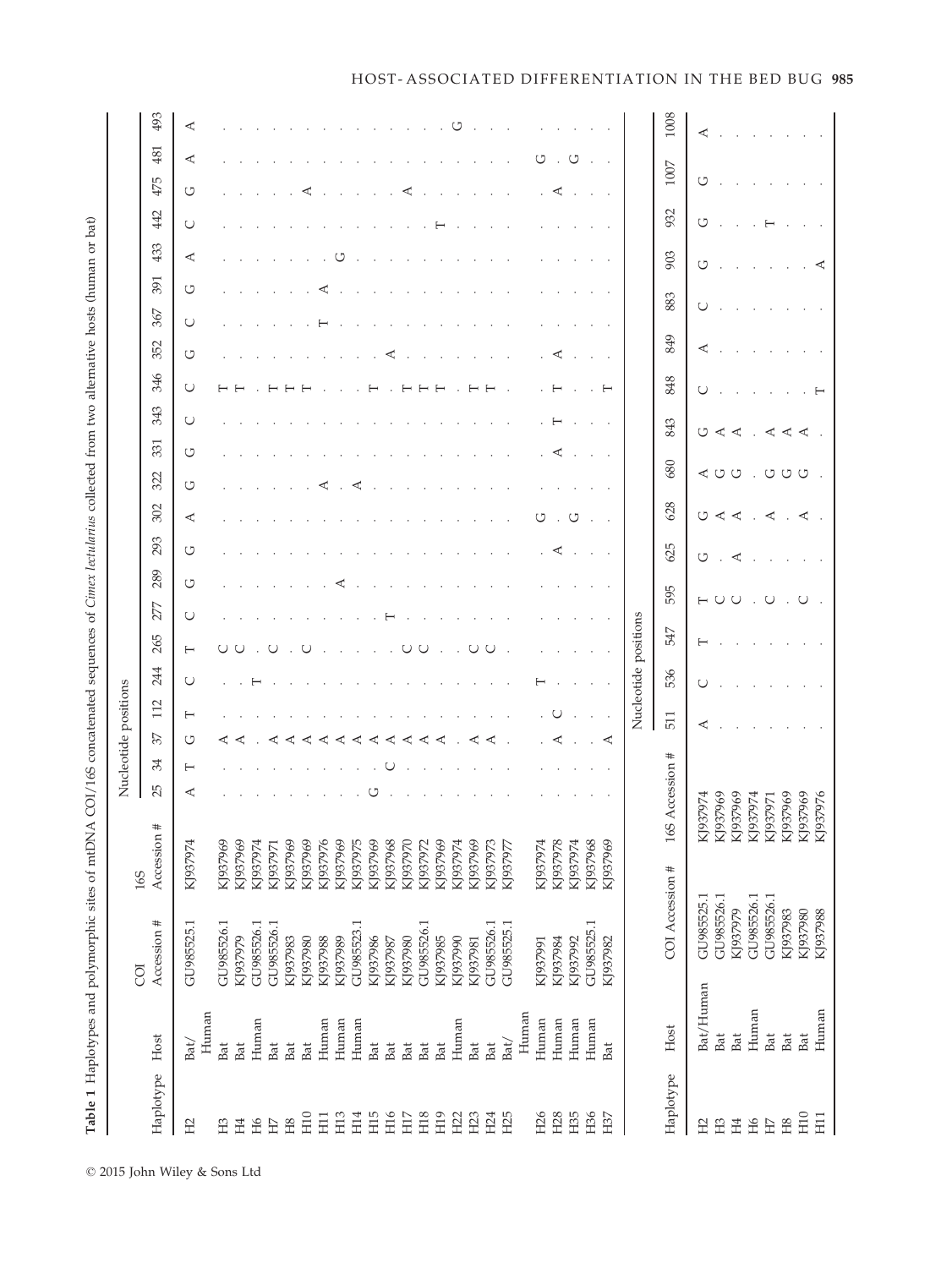|                 |                                                                                         |                               |                    |             |    |    | Nucleotide positions |                      |                    |            |     |     |     |     |        |        |     |     |        |        |            |          |      |
|-----------------|-----------------------------------------------------------------------------------------|-------------------------------|--------------------|-------------|----|----|----------------------|----------------------|--------------------|------------|-----|-----|-----|-----|--------|--------|-----|-----|--------|--------|------------|----------|------|
| Haplotype       | Host                                                                                    | Accession #<br>$\overline{S}$ | Accession #<br>165 | 25          | 34 | 57 | 112                  | 244                  | 265                | 289<br>277 | 293 | 302 | 322 | 331 | 343    | 346    | 352 | 367 | 391    | 433    | 475<br>442 | 481      | 493  |
| H <sub>2</sub>  | $\begin{minipage}{.4\linewidth} \hspace*{-0.2cm} \textbf{Human} \end{minipage}$<br>Bat/ | GU985525.1                    | KJ937974           | ⋖           | ⊢  | ↺  | ⊢                    | $\cup$               | $\cup$<br>$\vdash$ | U          | U   | ≺   | U   | U   | $\cup$ | $\cup$ | U   | U   | ≺<br>U | $\cup$ | U          | ⋖        | ⋖    |
| H <sub>3</sub>  | Bat                                                                                     | GU985526.1                    | KJ937969           |             |    |    |                      |                      |                    |            |     |     |     |     |        |        |     |     |        |        |            |          |      |
| H4              | Bat                                                                                     | KJ937979                      | KJ937969           |             |    |    |                      |                      |                    |            |     |     |     |     |        |        |     |     |        |        |            |          |      |
| H6              | Human                                                                                   | GU985526.1                    | KJ937974           |             |    |    |                      |                      |                    |            |     |     |     |     |        |        |     |     |        |        |            |          |      |
| H7              | Bat                                                                                     | GU985526.1                    | KJ937971           |             |    |    |                      |                      |                    |            |     |     |     |     |        |        |     |     |        |        |            |          |      |
| H <sub>8</sub>  | Bat                                                                                     | KJ937983                      | KJ937969           |             |    |    |                      |                      |                    |            |     |     |     |     |        |        |     |     |        |        |            |          |      |
| H10             | Bat                                                                                     | KJ937980                      | KJ937969           |             |    |    |                      |                      |                    |            |     |     |     |     |        |        |     |     |        |        |            |          |      |
| H <sub>11</sub> | Human                                                                                   | KJ937988                      | KJ937976           |             |    |    |                      |                      |                    |            |     |     |     |     |        |        |     |     |        |        |            |          |      |
| H <sub>13</sub> | Human                                                                                   | KJ937989                      | KJ937969           |             |    |    |                      |                      |                    |            |     |     |     |     |        |        |     |     |        |        |            |          |      |
| H14             | Human                                                                                   | GU985523.1                    | KJ937975           |             |    |    |                      |                      |                    |            |     |     |     |     |        |        |     |     |        |        |            |          |      |
| H <sub>15</sub> | Bat                                                                                     | KJ937986                      | KJ937969           |             |    |    |                      |                      |                    |            |     |     |     |     |        |        |     |     |        |        |            |          |      |
| H <sub>16</sub> | Bat                                                                                     | KJ937987                      | KJ937968           |             |    |    |                      |                      |                    |            |     |     |     |     |        |        |     |     |        |        |            |          |      |
| H17             | Bat                                                                                     | KJ937980                      | KJ937970           |             |    |    |                      |                      |                    |            |     |     |     |     |        |        |     |     |        |        |            |          |      |
| H <sub>18</sub> | Bat                                                                                     | GU985526.1                    | KJ937972           |             |    |    |                      |                      |                    |            |     |     |     |     |        |        |     |     |        |        |            |          |      |
| H <sub>19</sub> | Bat                                                                                     | KJ937985                      | KJ937969           |             |    |    |                      |                      |                    |            |     |     |     |     |        |        |     |     |        |        |            |          |      |
| H <sub>22</sub> | Human                                                                                   | KJ937990                      | KJ937974           |             |    |    |                      |                      |                    |            |     |     |     |     |        |        |     |     |        |        |            |          |      |
| H <sub>23</sub> | Bat                                                                                     | KJ937981                      | KJ937969           |             |    |    |                      |                      |                    |            |     |     |     |     |        |        |     |     |        |        |            |          |      |
| H24             | Bat                                                                                     | GU985526.1                    | KJ937973           |             |    |    |                      |                      |                    |            |     |     |     |     |        |        |     |     |        |        |            |          |      |
| H <sub>25</sub> | Bat/                                                                                    | GU985525.1                    | KJ937977           |             |    |    |                      |                      |                    |            |     |     |     |     |        |        |     |     |        |        |            |          |      |
|                 | Human                                                                                   |                               |                    |             |    |    |                      |                      |                    |            |     |     |     |     |        |        |     |     |        |        |            |          |      |
| H26             | Human                                                                                   | KJ937991                      | KJ937974           |             |    |    |                      |                      |                    |            |     |     |     |     |        |        |     |     |        |        |            |          |      |
| H <sub>28</sub> | Human                                                                                   | KJ937984                      | KJ937978           |             |    |    |                      |                      |                    |            |     |     |     |     |        |        |     |     |        |        |            |          |      |
| H35             | Human                                                                                   | KJ937992                      | KJ937974           |             |    |    |                      |                      |                    |            |     |     |     |     |        |        |     |     |        |        |            |          |      |
| H <sub>36</sub> | Human                                                                                   | GU985525.1                    | KJ937968           |             |    |    |                      |                      |                    |            |     |     |     |     |        |        |     |     |        |        |            |          |      |
| H37             | Bat                                                                                     | KJ937982                      | KJ937969           |             |    | ⋖  |                      |                      |                    |            |     |     |     |     |        |        |     |     |        |        |            |          |      |
|                 |                                                                                         |                               |                    |             |    |    |                      | Nucleotide positions |                    |            |     |     |     |     |        |        |     |     |        |        |            |          |      |
| Haplotype       | Host                                                                                    | COI Accession #               | 16S                | Accession # |    |    | 511                  | 536                  | 547                | 595        | 625 | 628 |     | 680 | 843    | 848    | 849 | 883 | 903    |        | 932        | $1007\,$ | 1008 |
| H <sub>2</sub>  | Bat/Human                                                                               | GU985525.1                    | KJ93               | :7974       |    | ⋖  |                      |                      |                    |            | ↺   | U   | ⋖   |     | ↺      |        |     |     | ↺      | U      |            |          | ⋖    |
| H <sub>3</sub>  | Bat                                                                                     | GU985526.1                    | KJ93               | \$7969      |    |    |                      |                      |                    |            |     | ⋖   | ↺   |     | ⋖      |        |     |     |        |        |            |          |      |
| H <sub>4</sub>  | Bat                                                                                     | KJ937979                      | KJ93               | 7969        |    |    |                      |                      |                    |            |     | ⋖   | U   |     | ⋖      |        |     |     |        |        |            |          |      |
| H6              | Human                                                                                   | GU985526.1                    | KJ93               | 17974       |    |    |                      |                      |                    |            |     |     |     |     |        |        |     |     |        |        |            |          |      |
| H7              | Bat                                                                                     | GU985526.1                    | KJ93               | 17971       |    |    |                      |                      |                    |            |     |     | ↺   |     | ⋖      |        |     |     |        |        |            |          |      |
| H <sub>8</sub>  | Bat                                                                                     | KJ937983                      | KJ93               | 7969        |    |    |                      |                      |                    |            |     |     | ↺   |     | ⋖      |        |     |     |        |        |            |          |      |
| H10             | Bat                                                                                     | KJ937980                      | KJ93               | 17969       |    |    |                      |                      |                    |            |     | ⋖   | ಲ   |     | ≺      |        |     |     |        |        |            |          |      |
| H <sub>11</sub> | Human                                                                                   | KJ937988                      | KJ93               | 7976        |    |    |                      |                      |                    |            |     |     |     |     |        |        |     |     | ⋖      |        |            |          |      |

© 2015 John Wiley & Sons Ltd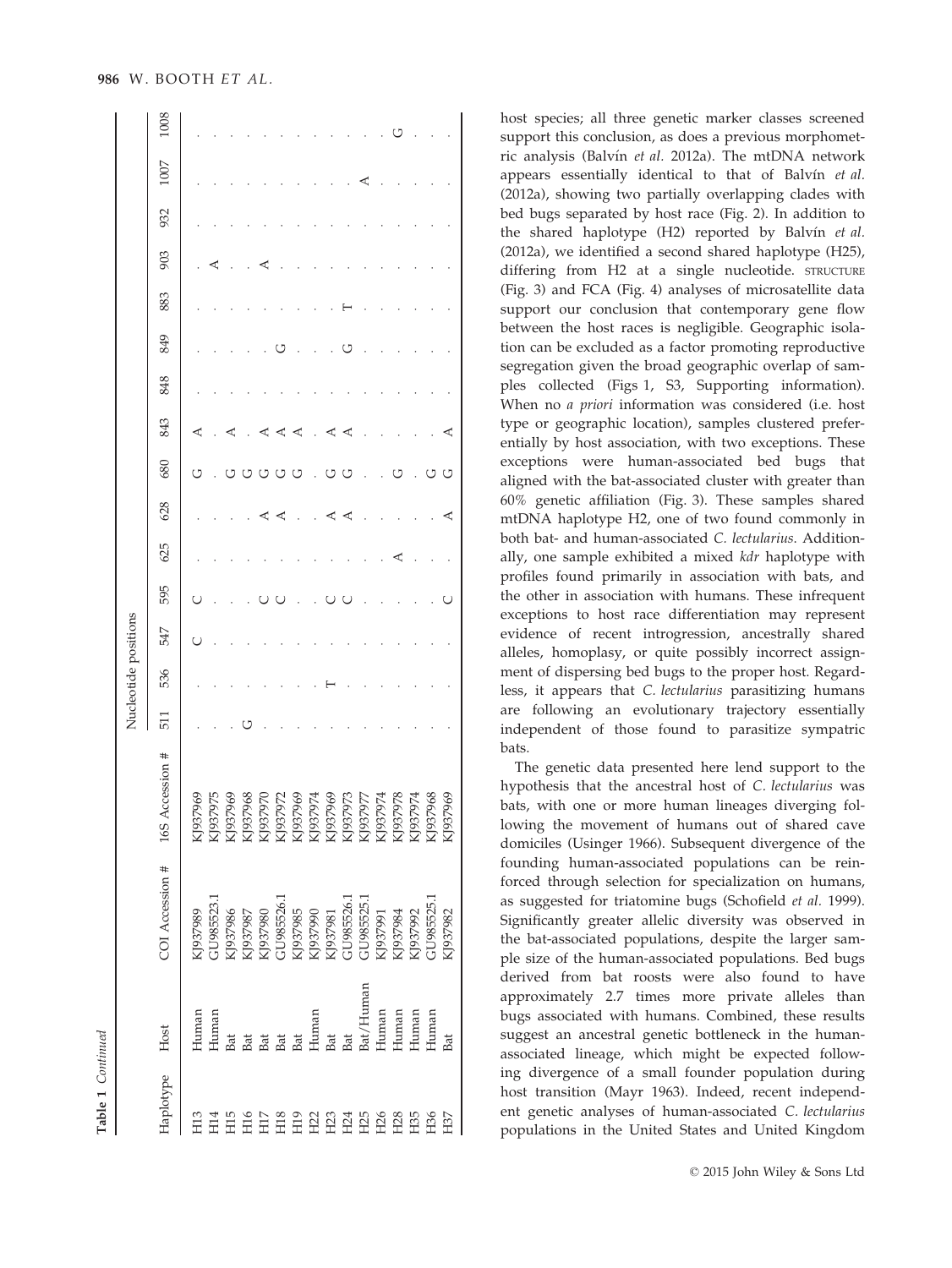|                       |      |                                                                                                                                                                                                                                                                                                                                                 |             |     |     | Nucleotide positions |     |     |     |     |     |     |     |     |     |     |      |      |
|-----------------------|------|-------------------------------------------------------------------------------------------------------------------------------------------------------------------------------------------------------------------------------------------------------------------------------------------------------------------------------------------------|-------------|-----|-----|----------------------|-----|-----|-----|-----|-----|-----|-----|-----|-----|-----|------|------|
| Haplotype             | Host | COI Accession # 165                                                                                                                                                                                                                                                                                                                             | Accession # | 511 | 536 | 547                  | 595 | 625 | 628 | 680 | 843 | 848 | 849 | 883 | 903 | 932 | 1007 | 1008 |
| $\overline{113}$      |      |                                                                                                                                                                                                                                                                                                                                                 |             |     |     | C                    |     |     |     | ל ) | ⋖   |     |     |     |     |     |      |      |
|                       |      |                                                                                                                                                                                                                                                                                                                                                 |             |     |     |                      |     |     |     |     |     |     |     |     | ⋖   |     |      |      |
|                       |      |                                                                                                                                                                                                                                                                                                                                                 |             |     |     |                      |     |     |     | U   | ⋖   |     |     |     |     |     |      |      |
| H<br>H H H<br>H H H   |      |                                                                                                                                                                                                                                                                                                                                                 |             |     |     |                      |     |     |     | U   |     |     |     |     |     |     |      |      |
|                       |      |                                                                                                                                                                                                                                                                                                                                                 |             |     |     |                      |     |     |     | U   |     |     |     |     |     |     |      |      |
| H18                   |      |                                                                                                                                                                                                                                                                                                                                                 |             |     |     |                      |     |     |     | U   |     |     | כו  |     |     |     |      |      |
|                       |      |                                                                                                                                                                                                                                                                                                                                                 |             |     |     |                      |     |     |     | U   | ⋖   |     |     |     |     |     |      |      |
|                       |      |                                                                                                                                                                                                                                                                                                                                                 |             |     |     |                      |     |     |     |     |     |     |     |     |     |     |      |      |
|                       |      |                                                                                                                                                                                                                                                                                                                                                 |             |     |     |                      |     |     |     | ↺   |     |     |     |     |     |     |      |      |
|                       |      |                                                                                                                                                                                                                                                                                                                                                 |             |     |     |                      |     |     | ⋖   | U   | ⋖   |     | U   |     |     |     |      |      |
|                       |      |                                                                                                                                                                                                                                                                                                                                                 |             |     |     |                      |     |     |     |     |     |     |     |     |     |     |      |      |
| E R R R R R R R R R R |      |                                                                                                                                                                                                                                                                                                                                                 |             |     |     |                      |     |     |     |     |     |     |     |     |     |     |      |      |
|                       |      |                                                                                                                                                                                                                                                                                                                                                 |             |     |     |                      |     |     |     |     |     |     |     |     |     |     |      |      |
|                       |      |                                                                                                                                                                                                                                                                                                                                                 |             |     |     |                      |     |     |     |     |     |     |     |     |     |     |      |      |
|                       |      |                                                                                                                                                                                                                                                                                                                                                 |             |     |     |                      |     |     |     | כ ז |     |     |     |     |     |     |      |      |
|                       |      | $\begin{array}{l} \text{KJ937989} \\ \text{GUS85523.1} \\ \text{GUS937986} \\ \text{KJ937986} \\ \text{KJ937986} \\ \text{KJ937980} \\ \text{KJ937986} \\ \text{GUS85526.1} \\ \text{KJ937986} \\ \text{KJ937986} \\ \text{KJ937986} \\ \text{KJ937981} \\ \text{KJ937981} \\ \text{GUS85525.1} \\ \text{KJ937991} \\ \text{KJ937992} \\ \text$ |             |     |     |                      |     |     | ⋖   | U   | ⋖   |     |     |     |     |     |      |      |

Table 1 Continued

Continued

host species; all three genetic marker classes screened support this conclusion, as does a previous morphometric analysis (Balyín et al. 2012a). The mtDNA network appears essentially identical to that of Balvín et al. (2012a), showing two partially overlapping clades with bed bugs separated by host race (Fig. 2). In addition to the shared haplotype  $(H2)$  reported by Balvín et al. (2012a), we identified a second shared haplotype (H25), differing from H2 at a single nucleotide. STRUCTURE (Fig. 3) and FCA (Fig. 4) analyses of microsatellite data support our conclusion that contemporary gene flow between the host races is negligible. Geographic isolation can be excluded as a factor promoting reproductive segregation given the broad geographic overlap of samples collected (Figs 1, S3, Supporting information). When no *a priori* information was considered (i.e. host type or geographic location), samples clustered preferentially by host association, with two exceptions. These exceptions were human-associated bed bugs that aligned with the bat-associated cluster with greater than 60% genetic affiliation (Fig. 3). These samples shared mtDNA haplotype H2, one of two found commonly in both bat- and human-associated C. lectularius. Additionally, one sample exhibited a mixed kdr haplotype with profiles found primarily in association with bats, and the other in association with humans. These infrequent exceptions to host race differentiation may represent evidence of recent introgression, ancestrally shared alleles, homoplasy, or quite possibly incorrect assignment of dispersing bed bugs to the proper host. Regardless, it appears that C. lectularius parasitizing humans are following an evolutionary trajectory essentially independent of those found to parasitize sympatric bats.

The genetic data presented here lend support to the hypothesis that the ancestral host of C. lectularius was bats, with one or more human lineages diverging following the movement of humans out of shared cave domiciles (Usinger 1966). Subsequent divergence of the founding human-associated populations can be reinforced through selection for specialization on humans, as suggested for triatomine bugs (Schofield et al. 1999). Significantly greater allelic diversity was observed in the bat-associated populations, despite the larger sample size of the human-associated populations. Bed bugs derived from bat roosts were also found to have approximately 2.7 times more private alleles than bugs associated with humans. Combined, these results suggest an ancestral genetic bottleneck in the humanassociated lineage, which might be expected following divergence of a small founder population during host transition (Mayr 1963). Indeed, recent independent genetic analyses of human-associated C. lectularius populations in the United States and United Kingdom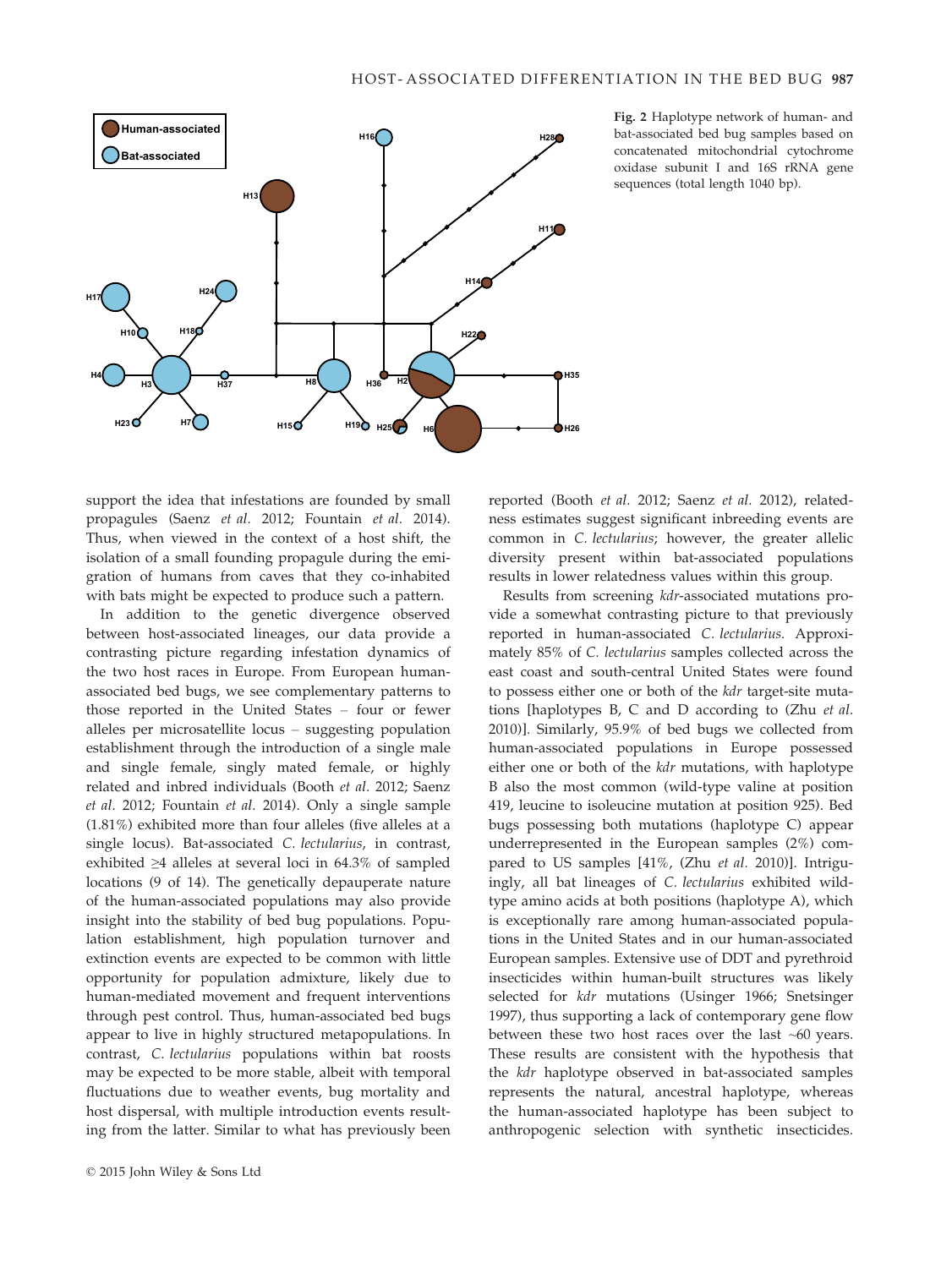

Fig. 2 Haplotype network of human- and bat-associated bed bug samples based on concatenated mitochondrial cytochrome oxidase subunit I and 16S rRNA gene sequences (total length 1040 bp).

support the idea that infestations are founded by small propagules (Saenz et al. 2012; Fountain et al. 2014). Thus, when viewed in the context of a host shift, the isolation of a small founding propagule during the emigration of humans from caves that they co-inhabited with bats might be expected to produce such a pattern.

In addition to the genetic divergence observed between host-associated lineages, our data provide a contrasting picture regarding infestation dynamics of the two host races in Europe. From European humanassociated bed bugs, we see complementary patterns to those reported in the United States – four or fewer alleles per microsatellite locus – suggesting population establishment through the introduction of a single male and single female, singly mated female, or highly related and inbred individuals (Booth et al. 2012; Saenz et al. 2012; Fountain et al. 2014). Only a single sample (1.81%) exhibited more than four alleles (five alleles at a single locus). Bat-associated C. lectularius, in contrast, exhibited ≥4 alleles at several loci in 64.3% of sampled locations (9 of 14). The genetically depauperate nature of the human-associated populations may also provide insight into the stability of bed bug populations. Population establishment, high population turnover and extinction events are expected to be common with little opportunity for population admixture, likely due to human-mediated movement and frequent interventions through pest control. Thus, human-associated bed bugs appear to live in highly structured metapopulations. In contrast, C. lectularius populations within bat roosts may be expected to be more stable, albeit with temporal fluctuations due to weather events, bug mortality and host dispersal, with multiple introduction events resulting from the latter. Similar to what has previously been

reported (Booth et al. 2012; Saenz et al. 2012), relatedness estimates suggest significant inbreeding events are common in C. lectularius; however, the greater allelic diversity present within bat-associated populations results in lower relatedness values within this group.

Results from screening kdr-associated mutations provide a somewhat contrasting picture to that previously reported in human-associated C. lectularius. Approximately 85% of C. lectularius samples collected across the east coast and south-central United States were found to possess either one or both of the kdr target-site mutations [haplotypes B, C and D according to (Zhu et al. 2010)]. Similarly, 95.9% of bed bugs we collected from human-associated populations in Europe possessed either one or both of the kdr mutations, with haplotype B also the most common (wild-type valine at position 419, leucine to isoleucine mutation at position 925). Bed bugs possessing both mutations (haplotype C) appear underrepresented in the European samples (2%) compared to US samples [41%, (Zhu et al. 2010)]. Intriguingly, all bat lineages of C. lectularius exhibited wildtype amino acids at both positions (haplotype A), which is exceptionally rare among human-associated populations in the United States and in our human-associated European samples. Extensive use of DDT and pyrethroid insecticides within human-built structures was likely selected for kdr mutations (Usinger 1966; Snetsinger 1997), thus supporting a lack of contemporary gene flow between these two host races over the last ~60 years. These results are consistent with the hypothesis that the kdr haplotype observed in bat-associated samples represents the natural, ancestral haplotype, whereas the human-associated haplotype has been subject to anthropogenic selection with synthetic insecticides.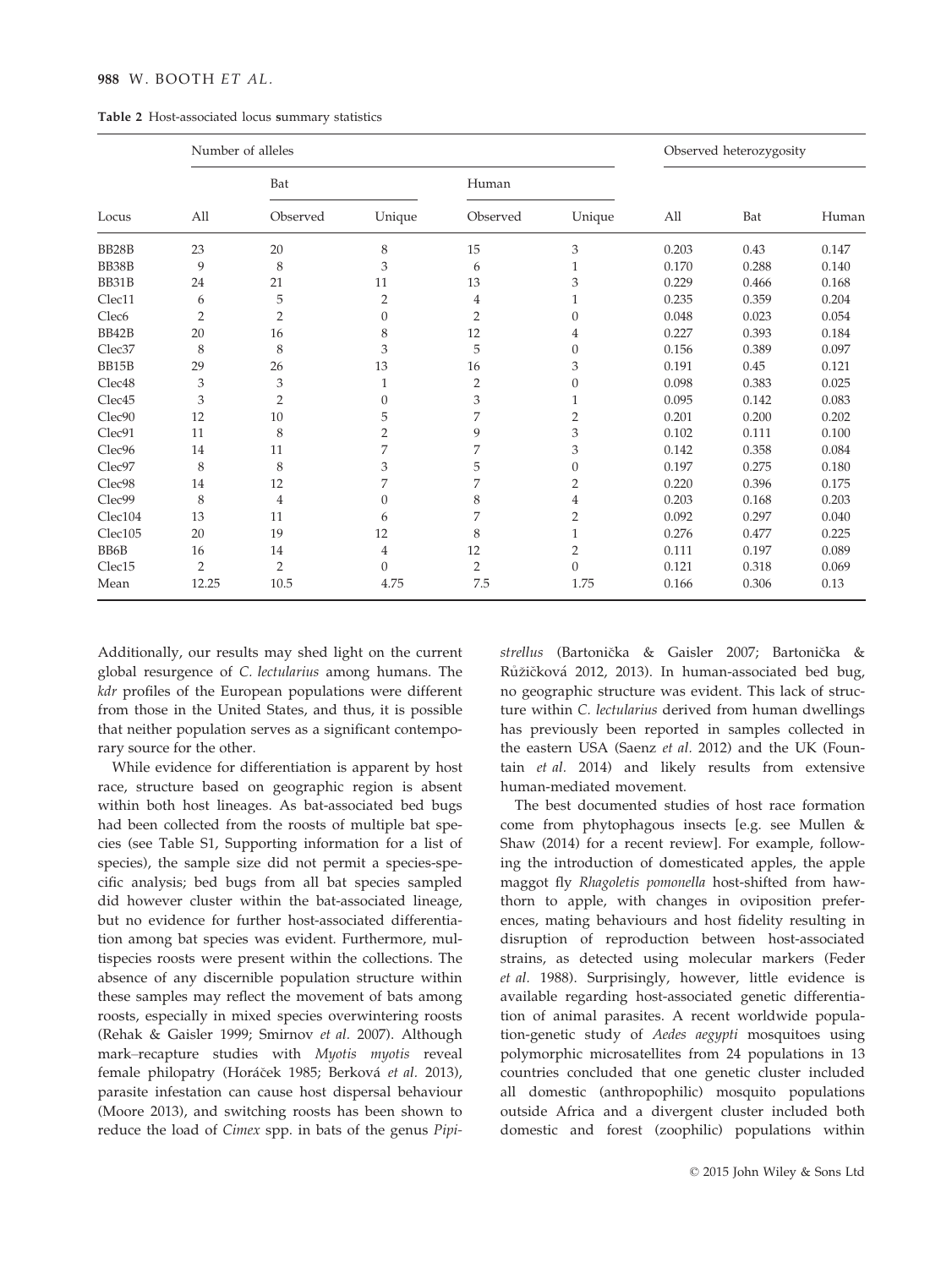## 988 W. BOOTH ET AL.

| Table 2 Host-associated locus summary statistics |  |  |
|--------------------------------------------------|--|--|
|                                                  |  |  |

|                    | Number of alleles |                |                  |                |                  |       | Observed heterozygosity |       |
|--------------------|-------------------|----------------|------------------|----------------|------------------|-------|-------------------------|-------|
|                    |                   | Bat            |                  | Human          |                  |       |                         |       |
| Locus              | All               | Observed       | Unique           | Observed       | Unique           | All   | Bat                     | Human |
| BB28B              | 23                | 20             | 8                | 15             | 3                | 0.203 | 0.43                    | 0.147 |
| BB38B              | 9                 | 8              | 3                | 6              | 1                | 0.170 | 0.288                   | 0.140 |
| BB31B              | 24                | 21             | 11               | 13             | 3                | 0.229 | 0.466                   | 0.168 |
| Clec11             | 6                 | 5              | $\overline{2}$   | 4              |                  | 0.235 | 0.359                   | 0.204 |
| Clec <sub>6</sub>  | $\overline{2}$    | 2              | $\boldsymbol{0}$ | 2              | $\boldsymbol{0}$ | 0.048 | 0.023                   | 0.054 |
| BB42B              | 20                | 16             | 8                | 12             | $\overline{4}$   | 0.227 | 0.393                   | 0.184 |
| Clec <sub>37</sub> | 8                 | 8              | 3                | 5              | $\theta$         | 0.156 | 0.389                   | 0.097 |
| BB15B              | 29                | 26             | 13               | 16             | 3                | 0.191 | 0.45                    | 0.121 |
| Clec <sub>48</sub> | 3                 | 3              | 1                | 2              | $\mathbf{0}$     | 0.098 | 0.383                   | 0.025 |
| Clec <sub>45</sub> | 3                 | $\overline{2}$ | $\mathbf{0}$     | 3              | 1                | 0.095 | 0.142                   | 0.083 |
| Clec90             | 12                | 10             | 5                | 7              | 2                | 0.201 | 0.200                   | 0.202 |
| Clec91             | 11                | 8              | $\overline{2}$   | 9              | 3                | 0.102 | 0.111                   | 0.100 |
| Clec <sub>96</sub> | 14                | 11             | 7                | 7              | 3                | 0.142 | 0.358                   | 0.084 |
| Clec97             | 8                 | 8              | 3                | 5              | $\boldsymbol{0}$ | 0.197 | 0.275                   | 0.180 |
| Clec98             | 14                | 12             | 7                | 7              | 2                | 0.220 | 0.396                   | 0.175 |
| Clec99             | 8                 | 4              | $\theta$         | 8              | 4                | 0.203 | 0.168                   | 0.203 |
| Clec104            | 13                | 11             | 6                | 7              | 2                | 0.092 | 0.297                   | 0.040 |
| Clec105            | 20                | 19             | 12               | 8              | 1                | 0.276 | 0.477                   | 0.225 |
| BB6B               | 16                | 14             | $\overline{4}$   | 12             | 2                | 0.111 | 0.197                   | 0.089 |
| Clec15             | $\overline{2}$    | $\overline{2}$ | $\mathbf{0}$     | $\overline{2}$ | $\mathbf{0}$     | 0.121 | 0.318                   | 0.069 |
| Mean               | 12.25             | 10.5           | 4.75             | 7.5            | 1.75             | 0.166 | 0.306                   | 0.13  |

Additionally, our results may shed light on the current global resurgence of C. lectularius among humans. The kdr profiles of the European populations were different from those in the United States, and thus, it is possible that neither population serves as a significant contemporary source for the other.

While evidence for differentiation is apparent by host race, structure based on geographic region is absent within both host lineages. As bat-associated bed bugs had been collected from the roosts of multiple bat species (see Table S1, Supporting information for a list of species), the sample size did not permit a species-specific analysis; bed bugs from all bat species sampled did however cluster within the bat-associated lineage, but no evidence for further host-associated differentiation among bat species was evident. Furthermore, multispecies roosts were present within the collections. The absence of any discernible population structure within these samples may reflect the movement of bats among roosts, especially in mixed species overwintering roosts (Rehak & Gaisler 1999; Smirnov et al. 2007). Although mark–recapture studies with Myotis myotis reveal female philopatry (Horáček 1985; Berková et al. 2013), parasite infestation can cause host dispersal behaviour (Moore 2013), and switching roosts has been shown to reduce the load of Cimex spp. in bats of the genus Pipistrellus (Bartonicka & Gaisler 2007; Bartonicka & Růžičková 2012, 2013). In human-associated bed bug, no geographic structure was evident. This lack of structure within C. lectularius derived from human dwellings has previously been reported in samples collected in the eastern USA (Saenz et al. 2012) and the UK (Fountain et al. 2014) and likely results from extensive human-mediated movement.

The best documented studies of host race formation come from phytophagous insects [e.g. see Mullen & Shaw (2014) for a recent review]. For example, following the introduction of domesticated apples, the apple maggot fly Rhagoletis pomonella host-shifted from hawthorn to apple, with changes in oviposition preferences, mating behaviours and host fidelity resulting in disruption of reproduction between host-associated strains, as detected using molecular markers (Feder et al. 1988). Surprisingly, however, little evidence is available regarding host-associated genetic differentiation of animal parasites. A recent worldwide population-genetic study of Aedes aegypti mosquitoes using polymorphic microsatellites from 24 populations in 13 countries concluded that one genetic cluster included all domestic (anthropophilic) mosquito populations outside Africa and a divergent cluster included both domestic and forest (zoophilic) populations within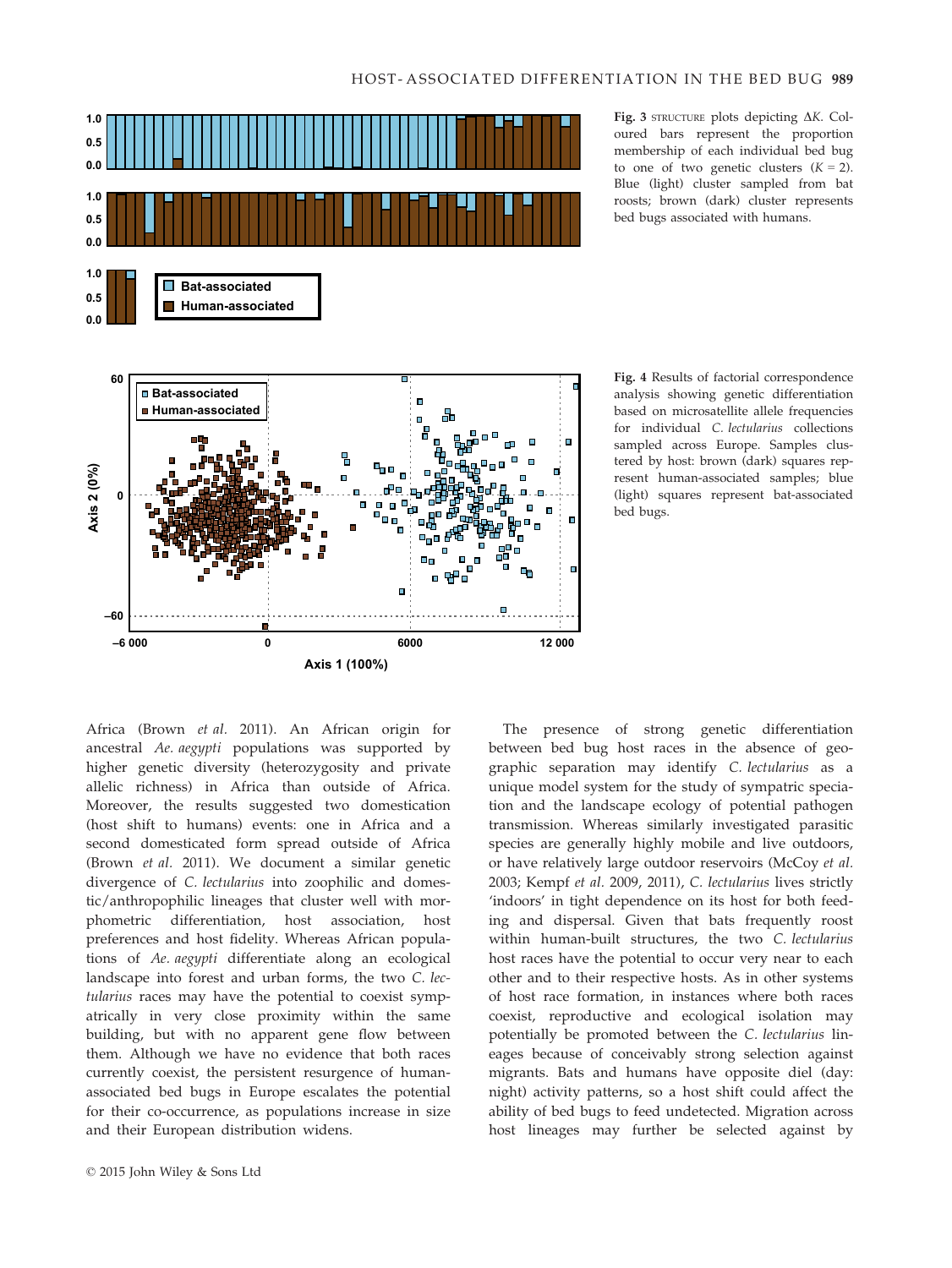

Fig. 3 STRUCTURE plots depicting  $\Delta K$ . Coloured bars represent the proportion membership of each individual bed bug to one of two genetic clusters  $(K = 2)$ . Blue (light) cluster sampled from bat roosts; brown (dark) cluster represents bed bugs associated with humans.

Fig. 4 Results of factorial correspondence analysis showing genetic differentiation based on microsatellite allele frequencies for individual C. lectularius collections sampled across Europe. Samples clustered by host: brown (dark) squares represent human-associated samples; blue (light) squares represent bat-associated bed bugs.

Africa (Brown et al. 2011). An African origin for ancestral Ae. aegypti populations was supported by higher genetic diversity (heterozygosity and private allelic richness) in Africa than outside of Africa. Moreover, the results suggested two domestication (host shift to humans) events: one in Africa and a second domesticated form spread outside of Africa (Brown et al. 2011). We document a similar genetic divergence of C. lectularius into zoophilic and domestic/anthropophilic lineages that cluster well with morphometric differentiation, host association, host preferences and host fidelity. Whereas African populations of Ae. aegypti differentiate along an ecological landscape into forest and urban forms, the two C. lectularius races may have the potential to coexist sympatrically in very close proximity within the same building, but with no apparent gene flow between them. Although we have no evidence that both races currently coexist, the persistent resurgence of humanassociated bed bugs in Europe escalates the potential for their co-occurrence, as populations increase in size and their European distribution widens.

© 2015 John Wiley & Sons Ltd

The presence of strong genetic differentiation between bed bug host races in the absence of geographic separation may identify C. lectularius as a unique model system for the study of sympatric speciation and the landscape ecology of potential pathogen transmission. Whereas similarly investigated parasitic species are generally highly mobile and live outdoors, or have relatively large outdoor reservoirs (McCoy et al. 2003; Kempf et al. 2009, 2011), C. lectularius lives strictly 'indoors' in tight dependence on its host for both feeding and dispersal. Given that bats frequently roost within human-built structures, the two C. lectularius host races have the potential to occur very near to each other and to their respective hosts. As in other systems of host race formation, in instances where both races coexist, reproductive and ecological isolation may potentially be promoted between the C. lectularius lineages because of conceivably strong selection against migrants. Bats and humans have opposite diel (day: night) activity patterns, so a host shift could affect the ability of bed bugs to feed undetected. Migration across host lineages may further be selected against by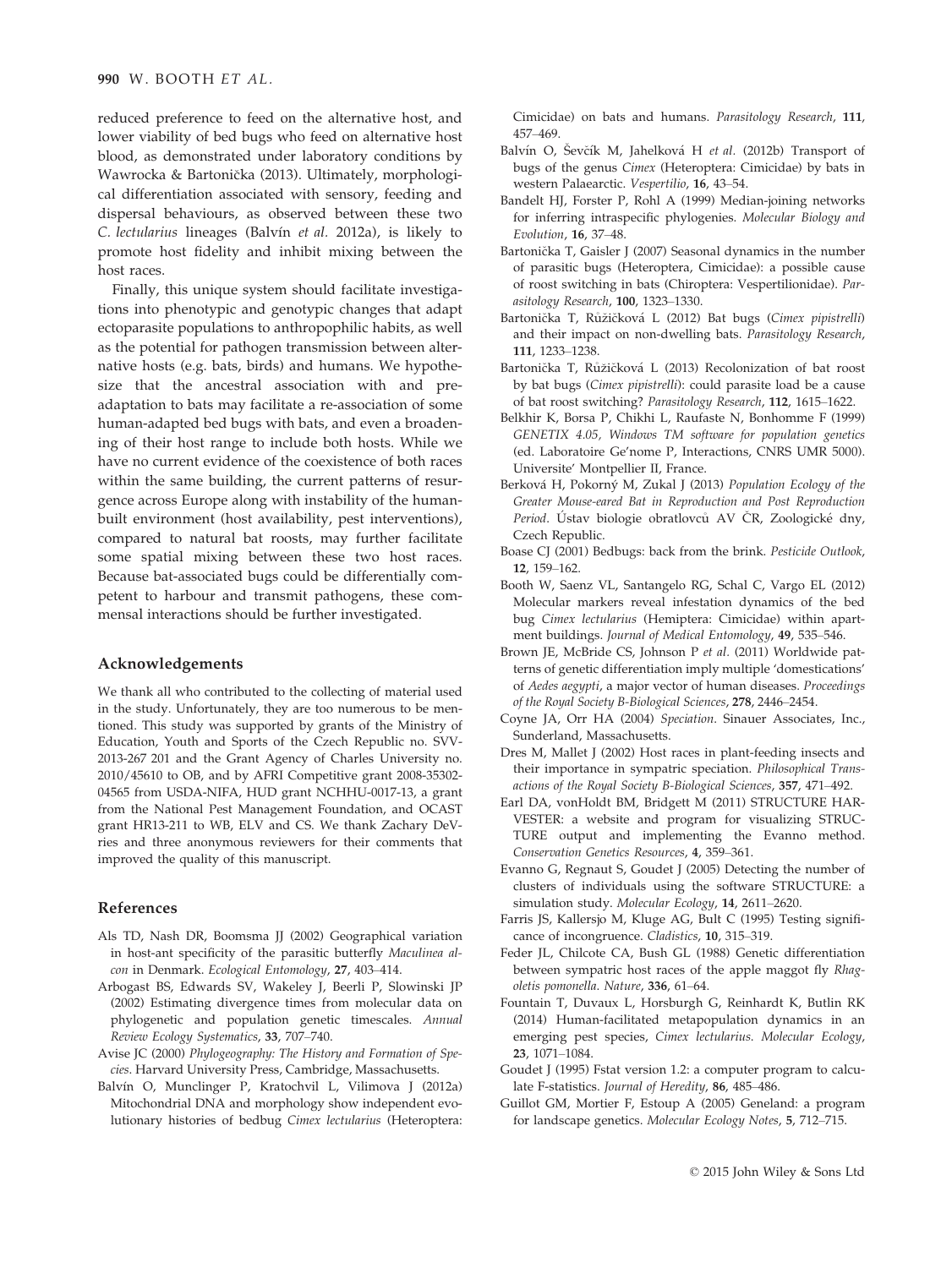reduced preference to feed on the alternative host, and lower viability of bed bugs who feed on alternative host blood, as demonstrated under laboratory conditions by Wawrocka & Bartonicka (2013). Ultimately, morphological differentiation associated with sensory, feeding and dispersal behaviours, as observed between these two C. lectularius lineages (Balvín et al. 2012a), is likely to promote host fidelity and inhibit mixing between the host races.

Finally, this unique system should facilitate investigations into phenotypic and genotypic changes that adapt ectoparasite populations to anthropophilic habits, as well as the potential for pathogen transmission between alternative hosts (e.g. bats, birds) and humans. We hypothesize that the ancestral association with and preadaptation to bats may facilitate a re-association of some human-adapted bed bugs with bats, and even a broadening of their host range to include both hosts. While we have no current evidence of the coexistence of both races within the same building, the current patterns of resurgence across Europe along with instability of the humanbuilt environment (host availability, pest interventions), compared to natural bat roosts, may further facilitate some spatial mixing between these two host races. Because bat-associated bugs could be differentially competent to harbour and transmit pathogens, these commensal interactions should be further investigated.

#### Acknowledgements

We thank all who contributed to the collecting of material used in the study. Unfortunately, they are too numerous to be mentioned. This study was supported by grants of the Ministry of Education, Youth and Sports of the Czech Republic no. SVV-2013-267 201 and the Grant Agency of Charles University no. 2010/45610 to OB, and by AFRI Competitive grant 2008-35302- 04565 from USDA-NIFA, HUD grant NCHHU-0017-13, a grant from the National Pest Management Foundation, and OCAST grant HR13-211 to WB, ELV and CS. We thank Zachary DeVries and three anonymous reviewers for their comments that improved the quality of this manuscript.

#### References

- Als TD, Nash DR, Boomsma JJ (2002) Geographical variation in host-ant specificity of the parasitic butterfly Maculinea alcon in Denmark. Ecological Entomology, 27, 403–414.
- Arbogast BS, Edwards SV, Wakeley J, Beerli P, Slowinski JP (2002) Estimating divergence times from molecular data on phylogenetic and population genetic timescales. Annual Review Ecology Systematics, 33, 707–740.
- Avise JC (2000) Phylogeography: The History and Formation of Species. Harvard University Press, Cambridge, Massachusetts.
- Balvín O, Munclinger P, Kratochvil L, Vilimova J (2012a) Mitochondrial DNA and morphology show independent evolutionary histories of bedbug Cimex lectularius (Heteroptera:

Cimicidae) on bats and humans. Parasitology Research, 111, 457–469.

- Balvín O, Ševčík M, Jahelková H et al. (2012b) Transport of bugs of the genus Cimex (Heteroptera: Cimicidae) by bats in western Palaearctic. Vespertilio, 16, 43–54.
- Bandelt HJ, Forster P, Rohl A (1999) Median-joining networks for inferring intraspecific phylogenies. Molecular Biology and Evolution, 16, 37–48.
- Bartonička T, Gaisler J (2007) Seasonal dynamics in the number of parasitic bugs (Heteroptera, Cimicidae): a possible cause of roost switching in bats (Chiroptera: Vespertilionidae). Parasitology Research, 100, 1323–1330.
- Bartonička T, Růžičková L (2012) Bat bugs (Cimex pipistrelli) and their impact on non-dwelling bats. Parasitology Research, 111, 1233–1238.
- Bartonička T, Růžičková L (2013) Recolonization of bat roost by bat bugs (Cimex pipistrelli): could parasite load be a cause of bat roost switching? Parasitology Research, 112, 1615–1622.
- Belkhir K, Borsa P, Chikhi L, Raufaste N, Bonhomme F (1999) GENETIX 4.05, Windows TM software for population genetics (ed. Laboratoire Ge'nome P, Interactions, CNRS UMR 5000). Universite' Montpellier II, France.
- Berková H, Pokorný M, Zukal J (2013) Population Ecology of the Greater Mouse-eared Bat in Reproduction and Post Reproduction Period. Ústav biologie obratlovců AV ČR, Zoologické dny, Czech Republic.
- Boase CJ (2001) Bedbugs: back from the brink. Pesticide Outlook, 12, 159–162.
- Booth W, Saenz VL, Santangelo RG, Schal C, Vargo EL (2012) Molecular markers reveal infestation dynamics of the bed bug Cimex lectularius (Hemiptera: Cimicidae) within apartment buildings. Journal of Medical Entomology, 49, 535–546.
- Brown JE, McBride CS, Johnson P et al. (2011) Worldwide patterns of genetic differentiation imply multiple 'domestications' of Aedes aegypti, a major vector of human diseases. Proceedings of the Royal Society B-Biological Sciences, 278, 2446–2454.
- Coyne JA, Orr HA (2004) Speciation. Sinauer Associates, Inc., Sunderland, Massachusetts.
- Dres M, Mallet J (2002) Host races in plant-feeding insects and their importance in sympatric speciation. Philosophical Transactions of the Royal Society B-Biological Sciences, 357, 471–492.
- Earl DA, vonHoldt BM, Bridgett M (2011) STRUCTURE HAR-VESTER: a website and program for visualizing STRUC-TURE output and implementing the Evanno method. Conservation Genetics Resources, 4, 359–361.
- Evanno G, Regnaut S, Goudet J (2005) Detecting the number of clusters of individuals using the software STRUCTURE: a simulation study. Molecular Ecology, 14, 2611–2620.
- Farris JS, Kallersjo M, Kluge AG, Bult C (1995) Testing significance of incongruence. Cladistics, 10, 315–319.
- Feder JL, Chilcote CA, Bush GL (1988) Genetic differentiation between sympatric host races of the apple maggot fly Rhagoletis pomonella. Nature, 336, 61–64.
- Fountain T, Duvaux L, Horsburgh G, Reinhardt K, Butlin RK (2014) Human-facilitated metapopulation dynamics in an emerging pest species, Cimex lectularius. Molecular Ecology, 23, 1071–1084.
- Goudet J (1995) Fstat version 1.2: a computer program to calculate F-statistics. Journal of Heredity, 86, 485-486.
- Guillot GM, Mortier F, Estoup A (2005) Geneland: a program for landscape genetics. Molecular Ecology Notes, 5, 712–715.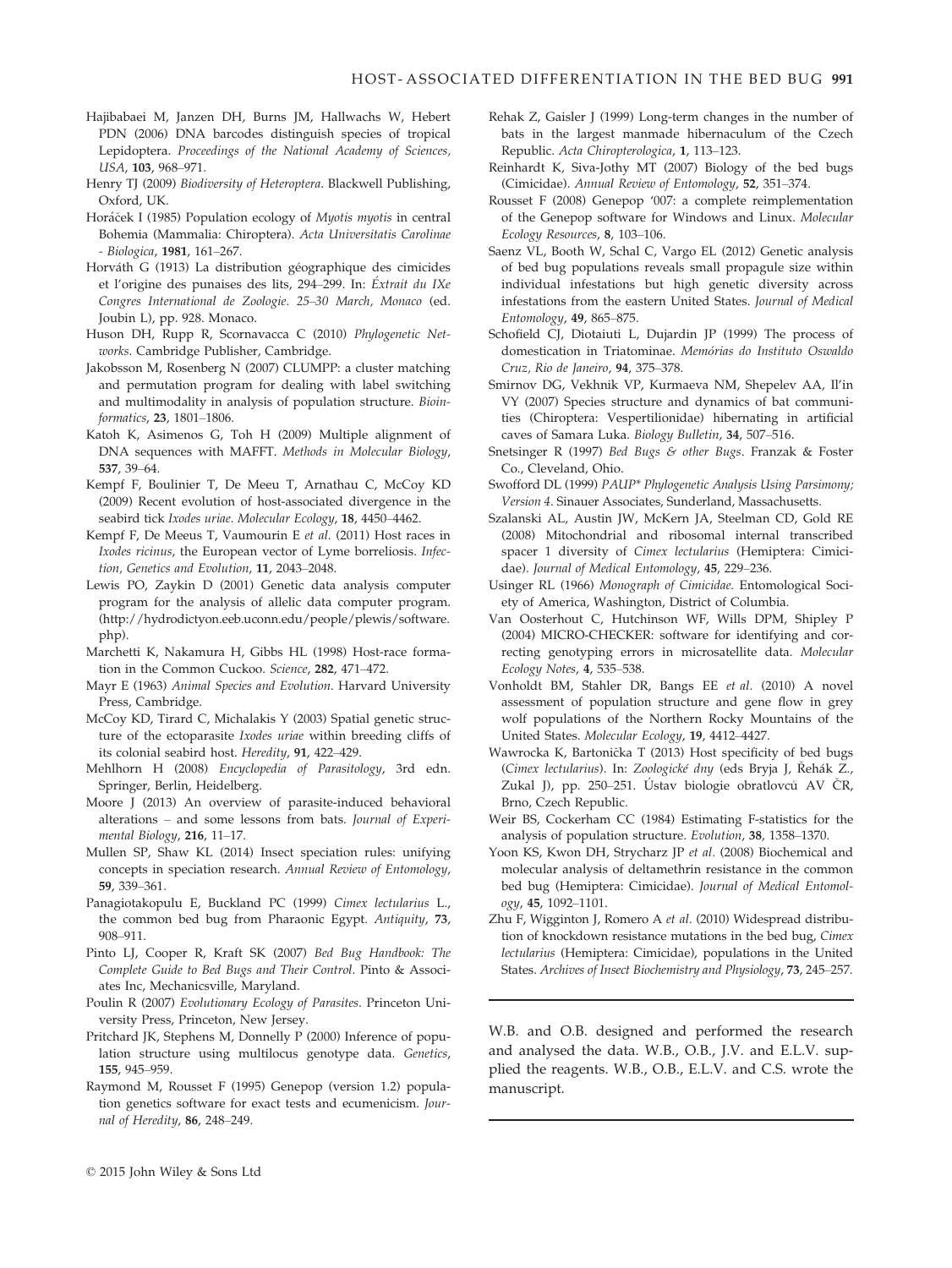- Hajibabaei M, Janzen DH, Burns JM, Hallwachs W, Hebert PDN (2006) DNA barcodes distinguish species of tropical Lepidoptera. Proceedings of the National Academy of Sciences, USA, 103, 968–971.
- Henry TJ (2009) Biodiversity of Heteroptera. Blackwell Publishing, Oxford, UK.
- Horáček I (1985) Population ecology of Myotis myotis in central Bohemia (Mammalia: Chiroptera). Acta Universitatis Carolinae - Biologica, 1981, 161–267.
- Horváth G (1913) La distribution géographique des cimicides et l'origine des punaises des lits, 294–299. In: Extrait du IXe Congres International de Zoologie. 25–30 March, Monaco (ed. Joubin L), pp. 928. Monaco.
- Huson DH, Rupp R, Scornavacca C (2010) Phylogenetic Networks. Cambridge Publisher, Cambridge.
- Jakobsson M, Rosenberg N (2007) CLUMPP: a cluster matching and permutation program for dealing with label switching and multimodality in analysis of population structure. Bioinformatics, 23, 1801–1806.
- Katoh K, Asimenos G, Toh H (2009) Multiple alignment of DNA sequences with MAFFT. Methods in Molecular Biology, 537, 39–64.
- Kempf F, Boulinier T, De Meeu T, Arnathau C, McCoy KD (2009) Recent evolution of host-associated divergence in the seabird tick Ixodes uriae. Molecular Ecology, 18, 4450-4462.
- Kempf F, De Meeus T, Vaumourin E et al. (2011) Host races in Ixodes ricinus, the European vector of Lyme borreliosis. Infection, Genetics and Evolution, 11, 2043–2048.
- Lewis PO, Zaykin D (2001) Genetic data analysis computer program for the analysis of allelic data computer program. [\(http://hydrodictyon.eeb.uconn.edu/people/plewis/software.](http://hydrodictyon.eeb.uconn.edu/people/plewis/software.php) [php](http://hydrodictyon.eeb.uconn.edu/people/plewis/software.php)).
- Marchetti K, Nakamura H, Gibbs HL (1998) Host-race formation in the Common Cuckoo. Science, 282, 471–472.
- Mayr E (1963) Animal Species and Evolution. Harvard University Press, Cambridge.
- McCoy KD, Tirard C, Michalakis Y (2003) Spatial genetic structure of the ectoparasite Ixodes uriae within breeding cliffs of its colonial seabird host. Heredity, 91, 422–429.
- Mehlhorn H (2008) Encyclopedia of Parasitology, 3rd edn. Springer, Berlin, Heidelberg.
- Moore J (2013) An overview of parasite-induced behavioral alterations – and some lessons from bats. Journal of Experimental Biology, 216, 11–17.
- Mullen SP, Shaw KL (2014) Insect speciation rules: unifying concepts in speciation research. Annual Review of Entomology, 59, 339–361.
- Panagiotakopulu E, Buckland PC (1999) Cimex lectularius L., the common bed bug from Pharaonic Egypt. Antiquity, 73, 908–911.
- Pinto LJ, Cooper R, Kraft SK (2007) Bed Bug Handbook: The Complete Guide to Bed Bugs and Their Control. Pinto & Associates Inc, Mechanicsville, Maryland.
- Poulin R (2007) Evolutionary Ecology of Parasites. Princeton University Press, Princeton, New Jersey.
- Pritchard JK, Stephens M, Donnelly P (2000) Inference of population structure using multilocus genotype data. Genetics, 155, 945–959.
- Raymond M, Rousset F (1995) Genepop (version 1.2) population genetics software for exact tests and ecumenicism. Journal of Heredity, 86, 248–249.
- Rehak Z, Gaisler J (1999) Long-term changes in the number of bats in the largest manmade hibernaculum of the Czech Republic. Acta Chiropterologica, 1, 113–123.
- Reinhardt K, Siva-Jothy MT (2007) Biology of the bed bugs (Cimicidae). Annual Review of Entomology, 52, 351–374.
- Rousset F (2008) Genepop '007: a complete reimplementation of the Genepop software for Windows and Linux. Molecular Ecology Resources, 8, 103–106.
- Saenz VL, Booth W, Schal C, Vargo EL (2012) Genetic analysis of bed bug populations reveals small propagule size within individual infestations but high genetic diversity across infestations from the eastern United States. Journal of Medical Entomology, 49, 865–875.
- Schofield CJ, Diotaiuti L, Dujardin JP (1999) The process of domestication in Triatominae. Memόrias do Instituto Oswaldo Cruz, Rio de Janeiro, 94, 375–378.
- Smirnov DG, Vekhnik VP, Kurmaeva NM, Shepelev AA, Il'in VY (2007) Species structure and dynamics of bat communities (Chiroptera: Vespertilionidae) hibernating in artificial caves of Samara Luka. Biology Bulletin, 34, 507–516.
- Snetsinger R (1997) Bed Bugs & other Bugs. Franzak & Foster Co., Cleveland, Ohio.
- Swofford DL (1999) PAUP\* Phylogenetic Analysis Using Parsimony; Version 4. Sinauer Associates, Sunderland, Massachusetts.
- Szalanski AL, Austin JW, McKern JA, Steelman CD, Gold RE (2008) Mitochondrial and ribosomal internal transcribed spacer 1 diversity of Cimex lectularius (Hemiptera: Cimicidae). Journal of Medical Entomology, 45, 229–236.
- Usinger RL (1966) Monograph of Cimicidae. Entomological Society of America, Washington, District of Columbia.
- Van Oosterhout C, Hutchinson WF, Wills DPM, Shipley P (2004) MICRO-CHECKER: software for identifying and correcting genotyping errors in microsatellite data. Molecular Ecology Notes, 4, 535–538.
- Vonholdt BM, Stahler DR, Bangs EE et al. (2010) A novel assessment of population structure and gene flow in grey wolf populations of the Northern Rocky Mountains of the United States. Molecular Ecology, 19, 4412–4427.
- Wawrocka K, Bartonicka T (2013) Host specificity of bed bugs (Cimex lectularius). In: Zoologické dny (eds Bryja J, Řehák Z., Zukal J), pp. 250–251. Ústav biologie obratlovců AV ČR, Brno, Czech Republic.
- Weir BS, Cockerham CC (1984) Estimating F-statistics for the analysis of population structure. Evolution, 38, 1358–1370.
- Yoon KS, Kwon DH, Strycharz JP et al. (2008) Biochemical and molecular analysis of deltamethrin resistance in the common bed bug (Hemiptera: Cimicidae). Journal of Medical Entomology, 45, 1092–1101.
- Zhu F, Wigginton J, Romero A et al. (2010) Widespread distribution of knockdown resistance mutations in the bed bug, Cimex lectularius (Hemiptera: Cimicidae), populations in the United States. Archives of Insect Biochemistry and Physiology, 73, 245–257.

W.B. and O.B. designed and performed the research and analysed the data. W.B., O.B., J.V. and E.L.V. supplied the reagents. W.B., O.B., E.L.V. and C.S. wrote the manuscript.